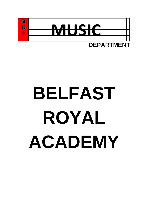

**DEPARTMENT**

# **BELFAST ROYAL ACADEMY**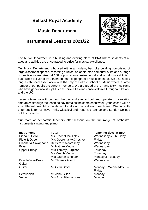## **Belfast Royal Academy**

### **Music Department**

# **Instrumental Lessons 2021/22**



The Music Department is a bustling and exciting place at BRA where students of all ages and abilities are encouraged to strive for musical excellence.

Our Music Department is housed within a modern, bespoke building comprising of large classroom spaces, recording studios, an apple-mac computer suite and a range of practice rooms. Around 150 pupils receive instrumental and vocal musical tuition each week delivered by a talented team of peripatetic music teachers. We also hold a long-established association with the City of Belfast School of Music where a large number of our pupils are current members. We are proud of the many BRA musicians who have gone on to study Music at universities and conservatoires throughout Ireland and the UK.

Lessons take place throughout the day and after school, and operate on a rotating timetable; although the teaching day remains the same each week, your lesson will be at a different time. Most pupils aim to take a practical exam each year. We currently enter pupils for ABRSM, Trinity Classical and Pop, Rock School and London College of Music exams.

Our team of peripatetic teachers offer lessons on the full range of orchestral instruments singing and piano.

| <b>Instrument</b><br>Piano & 'Cello<br>Flute & Oboe<br><b>Clarinet &amp; Saxophone</b><br><b>Brass</b><br><b>Upper Strings</b> | Tutor<br>Ms. Rachel McGinley<br>Mrs Georgina McChesney<br>Dr Gerard McAtasney<br><b>Mr Nathan Moore</b><br><b>Mrs Tammy Surginor</b><br><b>Ms Maebh Martin</b><br>Mrs Lauren Bingham | <b>Teaching days in BRA</b><br>Wednesday & Thursday<br>Friday<br>Wednesday<br>Wednesday<br>Thursday<br>Thursday<br>Monday & Tuesday |  |
|--------------------------------------------------------------------------------------------------------------------------------|--------------------------------------------------------------------------------------------------------------------------------------------------------------------------------------|-------------------------------------------------------------------------------------------------------------------------------------|--|
| DoubleBass/Bass<br>Guitar                                                                                                      | Mr Thomas Alford                                                                                                                                                                     | Wednesday                                                                                                                           |  |
| Guitar                                                                                                                         | Mr Colin Boyd                                                                                                                                                                        | Wednesday<br>Monday,<br>Friday                                                                                                      |  |
| Percussion<br>Voice                                                                                                            | Mr John Gillen<br>Mrs Amy Fitzsimmons                                                                                                                                                | Monday<br>Monday                                                                                                                    |  |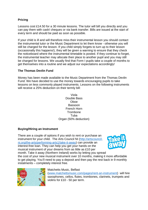#### **Pricing**

Lessons cost £14.50 for a 30 minute lessons. The tutor will bill you directly and you can pay them with cash/ cheques or via bank transfer. Bills are issued at the start of every term and should be paid as soon as possible.

If your child is ill and will therefore miss their instrumental lesson you should contact the instrumental tutor or the Music Department to let them know - otherwise you will still be charged for the lesson. If you child simply forgets to turn up to their lesson (occasionally this happens!), they will be given a warning to ensure that they check the noticeboard where the instrumental timetable is posted. If they continue to forget, the instrumental teacher may allocate their place to another pupil and you may still be charged for lessons. We usually find that Form I pupils take a couple of months to get themselves into a routine and we adjust our expectations accordingly!

#### **The Thomas Devlin Fund**

Money has been made available to the Music Department from the Thomas Devlin Fund. We have decided to use the money towards encouraging pupils to take lessons on less commonly played instruments. Lessons on the following instruments will receive a 25% deduction on their termly bill:

> Viola Double Bass Oboe Bassoon French Horn **Trombone** Tuba Organ (50% deduction)

#### **Buying/Hiring an Instrument**

There are a couple of options if you wish to rent or purchase an instrument for your child. The Arts Council NI [\(http://artscouncil](http://artscouncil-ni.org/the-arts/performing-arts1/take-it-away)[ni.org/the-arts/performing-arts1/take-it-away\)](http://artscouncil-ni.org/the-arts/performing-arts1/take-it-away) can provide an interest-free loan. They can help you get your hands on the musical instrument of your dreams from as little as £10 per



month. Take it away (Northern Ireland) works by letting you spread the cost of your new musical instrument over 10 months, making it more affordable to get playing. You'll need to pay a deposit and then pay the rest back in 9 monthly instalments – completely interest free.



#### Matchetts Music, Belfast

[\(www.matchettsmusic.com/pages/rent-an-instrument\)](http://www.matchettsmusic.com/pages/rent-an-instrument) will hire saxophones, cellos, flutes, trombones, clarinets, trumpets and violins for £10 - 50 per term.